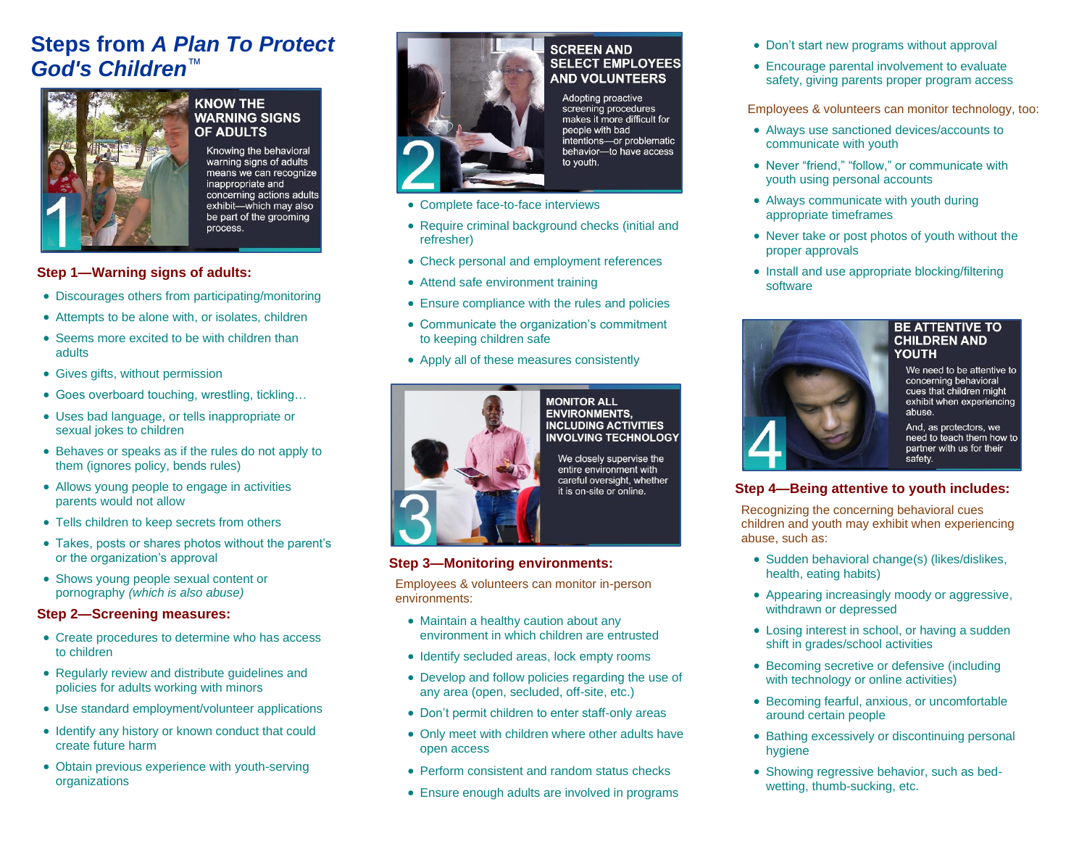### **Steps from** *A Plan To Protect God's Children*™



#### **KNOW THE WARNING SIGNS OF ADULTS**

Knowing the behavioral warning signs of adults means we can recognize inappropriate and concerning actions adults exhibit-which may also be part of the grooming process.

#### **Step 1—Warning signs of adults:**

- Discourages others from participating/monitoring
- Attempts to be alone with, or isolates, children
- Seems more excited to be with children than adults
- Gives gifts, without permission
- Goes overboard touching, wrestling, tickling…
- Uses bad language, or tells inappropriate or sexual jokes to children
- Behaves or speaks as if the rules do not apply to them (ignores policy, bends rules)
- Allows young people to engage in activities parents would not allow
- Tells children to keep secrets from others
- Takes, posts or shares photos without the parent's or the organization's approval
- Shows young people sexual content or pornography *(which is also abuse)*

#### **Step 2—Screening measures:**

- Create procedures to determine who has access to children
- Regularly review and distribute guidelines and policies for adults working with minors
- Use standard employment/volunteer applications
- Identify any history or known conduct that could create future harm
- Obtain previous experience with youth-serving organizations



#### **SCREEN AND SELECT EMPLOYEES AND VOLUNTEERS**

Adopting proactive screening procedures makes it more difficult for people with bad intentions-or problematic behavior-to have access to youth.

- Complete face-to-face interviews
- Require criminal background checks (initial and refresher)
- Check personal and employment references
- Attend safe environment training
- Ensure compliance with the rules and policies
- Communicate the organization's commitment to keeping children safe
- Apply all of these measures consistently



#### **MONITOR ALL ENVIRONMENTS, INCLUDING ACTIVITIES INVOLVING TECHNOLOGY**

We closely supervise the entire environment with careful oversight, whether it is on-site or online.

#### **Step 3—Monitoring environments:**

Employees & volunteers can monitor in-person environments:

- Maintain a healthy caution about any environment in which children are entrusted
- Identify secluded areas, lock empty rooms
- Develop and follow policies regarding the use of any area (open, secluded, off-site, etc.)
- Don't permit children to enter staff-only areas
- Only meet with children where other adults have open access
- Perform consistent and random status checks
- Ensure enough adults are involved in programs
- Don't start new programs without approval
- Encourage parental involvement to evaluate safety, giving parents proper program access

Employees & volunteers can monitor technology, too:

- Always use sanctioned devices/accounts to communicate with youth
- Never "friend." "follow." or communicate with youth using personal accounts
- Always communicate with youth during appropriate timeframes
- Never take or post photos of youth without the proper approvals
- Install and use appropriate blocking/filtering software



#### **BE ATTENTIVE TO CHILDREN AND YOUTH**

We need to be attentive to concerning behavioral cues that children might exhibit when experiencing abuse.

And, as protectors, we need to teach them how to partner with us for their safety.

#### **Step 4—Being attentive to youth includes:**

Recognizing the concerning behavioral cues children and youth may exhibit when experiencing abuse, such as:

- Sudden behavioral change(s) (likes/dislikes, health, eating habits)
- Appearing increasingly moody or aggressive, withdrawn or depressed
- Losing interest in school, or having a sudden shift in grades/school activities
- Becoming secretive or defensive (including with technology or online activities)
- Becoming fearful, anxious, or uncomfortable around certain people
- Bathing excessively or discontinuing personal hygiene
- Showing regressive behavior, such as bedwetting, thumb-sucking, etc.